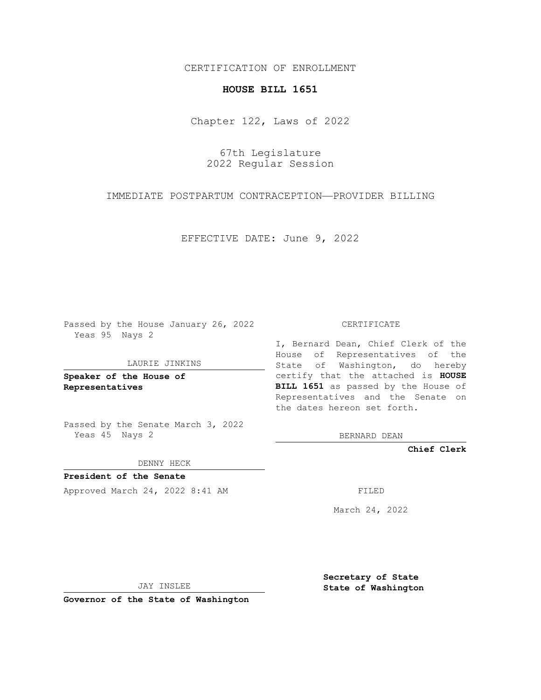# CERTIFICATION OF ENROLLMENT

## **HOUSE BILL 1651**

Chapter 122, Laws of 2022

67th Legislature 2022 Regular Session

IMMEDIATE POSTPARTUM CONTRACEPTION—PROVIDER BILLING

EFFECTIVE DATE: June 9, 2022

Passed by the House January 26, 2022 Yeas 95 Nays 2

### LAURIE JINKINS

**Speaker of the House of Representatives**

Passed by the Senate March 3, 2022 Yeas 45 Nays 2

DENNY HECK

**President of the Senate** Approved March 24, 2022 8:41 AM FILED

#### CERTIFICATE

I, Bernard Dean, Chief Clerk of the House of Representatives of the State of Washington, do hereby certify that the attached is **HOUSE BILL 1651** as passed by the House of Representatives and the Senate on the dates hereon set forth.

BERNARD DEAN

**Chief Clerk**

March 24, 2022

JAY INSLEE

**Governor of the State of Washington**

**Secretary of State State of Washington**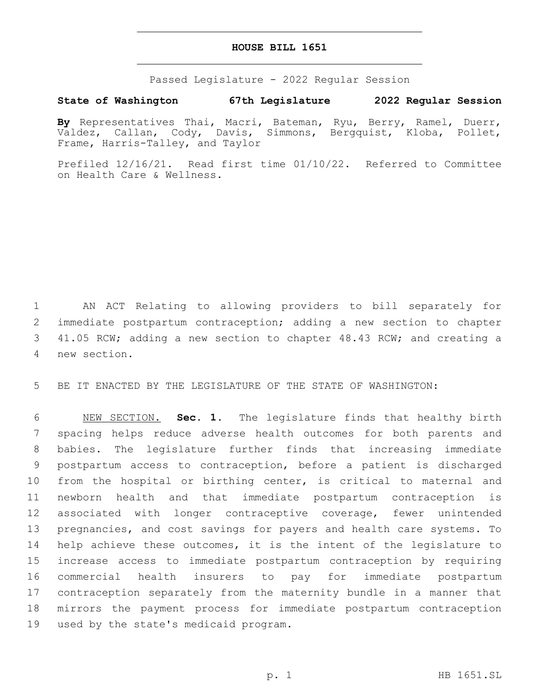## **HOUSE BILL 1651**

Passed Legislature - 2022 Regular Session

# **State of Washington 67th Legislature 2022 Regular Session**

**By** Representatives Thai, Macri, Bateman, Ryu, Berry, Ramel, Duerr, Valdez, Callan, Cody, Davis, Simmons, Bergquist, Kloba, Pollet, Frame, Harris-Talley, and Taylor

Prefiled 12/16/21. Read first time 01/10/22. Referred to Committee on Health Care & Wellness.

 AN ACT Relating to allowing providers to bill separately for immediate postpartum contraception; adding a new section to chapter 41.05 RCW; adding a new section to chapter 48.43 RCW; and creating a new section.4

BE IT ENACTED BY THE LEGISLATURE OF THE STATE OF WASHINGTON:

 NEW SECTION. **Sec. 1.** The legislature finds that healthy birth spacing helps reduce adverse health outcomes for both parents and babies. The legislature further finds that increasing immediate postpartum access to contraception, before a patient is discharged from the hospital or birthing center, is critical to maternal and newborn health and that immediate postpartum contraception is associated with longer contraceptive coverage, fewer unintended pregnancies, and cost savings for payers and health care systems. To help achieve these outcomes, it is the intent of the legislature to increase access to immediate postpartum contraception by requiring commercial health insurers to pay for immediate postpartum contraception separately from the maternity bundle in a manner that mirrors the payment process for immediate postpartum contraception used by the state's medicaid program.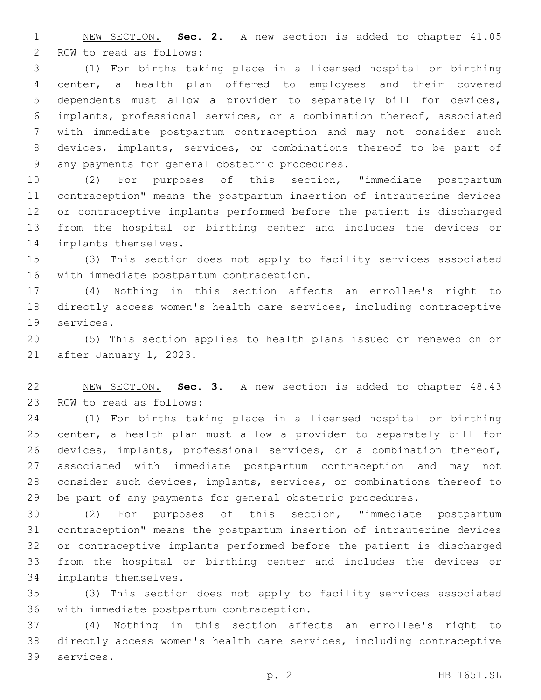NEW SECTION. **Sec. 2.** A new section is added to chapter 41.05 2 RCW to read as follows:

 (1) For births taking place in a licensed hospital or birthing center, a health plan offered to employees and their covered dependents must allow a provider to separately bill for devices, implants, professional services, or a combination thereof, associated with immediate postpartum contraception and may not consider such devices, implants, services, or combinations thereof to be part of 9 any payments for general obstetric procedures.

 (2) For purposes of this section, "immediate postpartum contraception" means the postpartum insertion of intrauterine devices or contraceptive implants performed before the patient is discharged from the hospital or birthing center and includes the devices or 14 implants themselves.

 (3) This section does not apply to facility services associated 16 with immediate postpartum contraception.

 (4) Nothing in this section affects an enrollee's right to directly access women's health care services, including contraceptive 19 services.

 (5) This section applies to health plans issued or renewed on or 21 after January 1, 2023.

 NEW SECTION. **Sec. 3.** A new section is added to chapter 48.43 23 RCW to read as follows:

 (1) For births taking place in a licensed hospital or birthing center, a health plan must allow a provider to separately bill for devices, implants, professional services, or a combination thereof, associated with immediate postpartum contraception and may not consider such devices, implants, services, or combinations thereof to be part of any payments for general obstetric procedures.

 (2) For purposes of this section, "immediate postpartum contraception" means the postpartum insertion of intrauterine devices or contraceptive implants performed before the patient is discharged from the hospital or birthing center and includes the devices or 34 implants themselves.

 (3) This section does not apply to facility services associated 36 with immediate postpartum contraception.

 (4) Nothing in this section affects an enrollee's right to directly access women's health care services, including contraceptive 39 services.

p. 2 HB 1651.SL